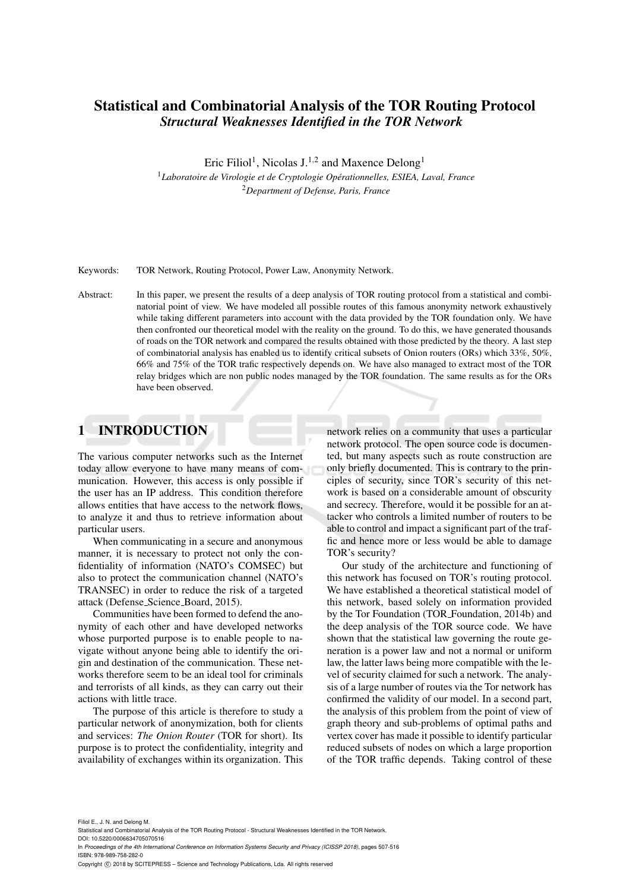# Statistical and Combinatorial Analysis of the TOR Routing Protocol *Structural Weaknesses Identified in the TOR Network*

Eric Filiol<sup>1</sup>, Nicolas J.<sup>1,2</sup> and Maxence Delong<sup>1</sup>

<sup>1</sup>*Laboratoire de Virologie et de Cryptologie Operationnelles, ESIEA, Laval, France ´* <sup>2</sup>*Department of Defense, Paris, France*

Keywords: TOR Network, Routing Protocol, Power Law, Anonymity Network.

Abstract: In this paper, we present the results of a deep analysis of TOR routing protocol from a statistical and combinatorial point of view. We have modeled all possible routes of this famous anonymity network exhaustively while taking different parameters into account with the data provided by the TOR foundation only. We have then confronted our theoretical model with the reality on the ground. To do this, we have generated thousands of roads on the TOR network and compared the results obtained with those predicted by the theory. A last step of combinatorial analysis has enabled us to identify critical subsets of Onion routers (ORs) which 33%, 50%, 66% and 75% of the TOR trafic respectively depends on. We have also managed to extract most of the TOR relay bridges which are non public nodes managed by the TOR foundation. The same results as for the ORs have been observed.

# 1 INTRODUCTION

The various computer networks such as the Internet today allow everyone to have many means of communication. However, this access is only possible if the user has an IP address. This condition therefore allows entities that have access to the network flows, to analyze it and thus to retrieve information about particular users.

When communicating in a secure and anonymous manner, it is necessary to protect not only the confidentiality of information (NATO's COMSEC) but also to protect the communication channel (NATO's TRANSEC) in order to reduce the risk of a targeted attack (Defense Science Board, 2015).

Communities have been formed to defend the anonymity of each other and have developed networks whose purported purpose is to enable people to navigate without anyone being able to identify the origin and destination of the communication. These networks therefore seem to be an ideal tool for criminals and terrorists of all kinds, as they can carry out their actions with little trace.

The purpose of this article is therefore to study a particular network of anonymization, both for clients and services: *The Onion Router* (TOR for short). Its purpose is to protect the confidentiality, integrity and availability of exchanges within its organization. This

network relies on a community that uses a particular network protocol. The open source code is documented, but many aspects such as route construction are only briefly documented. This is contrary to the principles of security, since TOR's security of this network is based on a considerable amount of obscurity and secrecy. Therefore, would it be possible for an attacker who controls a limited number of routers to be able to control and impact a significant part of the traffic and hence more or less would be able to damage TOR's security?

Our study of the architecture and functioning of this network has focused on TOR's routing protocol. We have established a theoretical statistical model of this network, based solely on information provided by the Tor Foundation (TOR Foundation, 2014b) and the deep analysis of the TOR source code. We have shown that the statistical law governing the route generation is a power law and not a normal or uniform law, the latter laws being more compatible with the level of security claimed for such a network. The analysis of a large number of routes via the Tor network has confirmed the validity of our model. In a second part, the analysis of this problem from the point of view of graph theory and sub-problems of optimal paths and vertex cover has made it possible to identify particular reduced subsets of nodes on which a large proportion of the TOR traffic depends. Taking control of these

Filiol E., J. N. and Delong M.

In *Proceedings of the 4th International Conference on Information Systems Security and Privacy (ICISSP 2018)*, pages 507-516 ISBN: 978-989-758-282-0

Copyright © 2018 by SCITEPRESS - Science and Technology Publications, Lda. All rights reserved

Statistical and Combinatorial Analysis of the TOR Routing Protocol - Structural Weaknesses Identified in the TOR Network. DOI: 10.5220/0006634705070516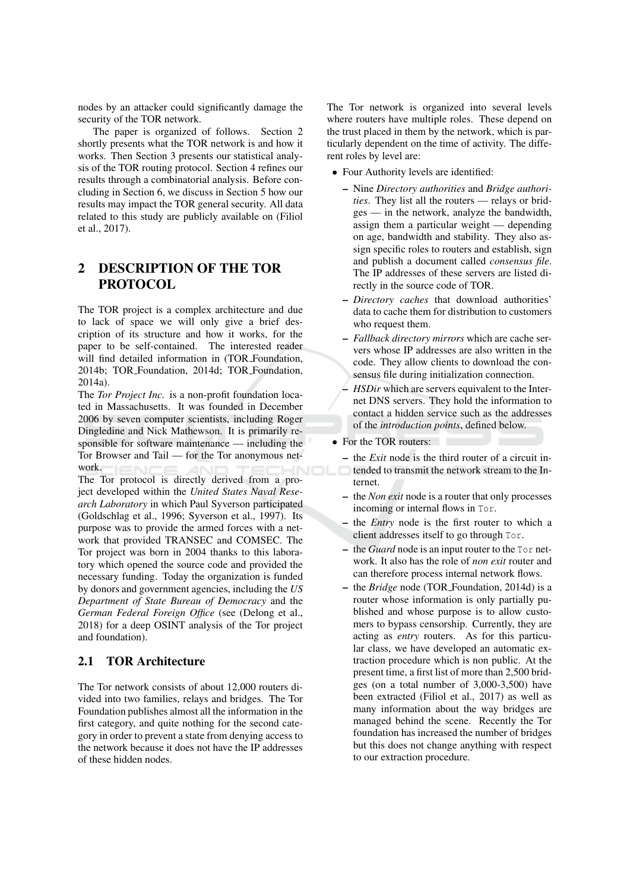nodes by an attacker could significantly damage the security of the TOR network.

The paper is organized of follows. Section 2 shortly presents what the TOR network is and how it works. Then Section 3 presents our statistical analysis of the TOR routing protocol. Section 4 refines our results through a combinatorial analysis. Before concluding in Section 6, we discuss in Section 5 how our results may impact the TOR general security. All data related to this study are publicly available on (Filiol) et al., 2017).

### **DESCRIPTION OF THE TOR**  $\overline{2}$ **PROTOCOL**

The TOR project is a complex architecture and due to lack of space we will only give a brief description of its structure and how it works, for the paper to be self-contained. The interested reader will find detailed information in (TOR\_Foundation, 2014b; TOR\_Foundation, 2014d; TOR\_Foundation,  $2014a$ ).

The Tor Project Inc. is a non-profit foundation located in Massachusetts. It was founded in December 2006 by seven computer scientists, including Roger Dingledine and Nick Mathewson. It is primarily responsible for software maintenance — including the Tor Browser and Tail — for the Tor anonymous network.

The Tor protocol is directly derived from a project developed within the United States Naval Research Laboratory in which Paul Syverson participated (Goldschlag et al., 1996; Syverson et al., 1997). Its purpose was to provide the armed forces with a network that provided TRANSEC and COMSEC. The Tor project was born in 2004 thanks to this laboratory which opened the source code and provided the necessary funding. Today the organization is funded by donors and government agencies, including the US Department of State Bureau of Democracy and the German Federal Foreign Office (see (Delong et al., 2018) for a deep OSINT analysis of the Tor project and foundation).

#### $2.1$ **TOR Architecture**

The Tor network consists of about 12,000 routers divided into two families, relays and bridges. The Tor Foundation publishes almost all the information in the first category, and quite nothing for the second category in order to prevent a state from denying access to the network because it does not have the IP addresses of these hidden nodes.

The Tor network is organized into several levels where routers have multiple roles. These depend on the trust placed in them by the network, which is particularly dependent on the time of activity. The different roles by level are:

- Four Authority levels are identified:
	- Nine Directory authorities and Bridge authorities. They list all the routers - relays or bridges — in the network, analyze the bandwidth, assign them a particular weight — depending on age, bandwidth and stability. They also assign specific roles to routers and establish, sign and publish a document called consensus file. The IP addresses of these servers are listed directly in the source code of TOR.
	- Directory caches that download authorities' data to cache them for distribution to customers who request them.
	- Fallback directory mirrors which are cache servers whose IP addresses are also written in the code. They allow clients to download the consensus file during initialization connection.
	- $-$  HSDir which are servers equivalent to the Internet DNS servers. They hold the information to contact a hidden service such as the addresses of the *introduction points*, defined below.
- For the TOR routers:
	- $-$  the *Exit* node is the third router of a circuit intended to transmit the network stream to the Internet
	- $-$  the *Non exit* node is a router that only processes incoming or internal flows in Tor.
	- $-$  the *Entry* node is the first router to which a client addresses itself to go through Tor.
	- $-$  the *Guard* node is an input router to the  $Tor$  network. It also has the role of non exit router and can therefore process internal network flows.
	- $-$  the *Bridge* node (TOR\_Foundation, 2014d) is a router whose information is only partially published and whose purpose is to allow customers to bypass censorship. Currently, they are acting as entry routers. As for this particular class, we have developed an automatic extraction procedure which is non public. At the present time, a first list of more than 2,500 bridges (on a total number of  $3,000-3,500$ ) have been extracted (Filiol et al., 2017) as well as many information about the way bridges are managed behind the scene. Recently the Tor foundation has increased the number of bridges but this does not change anything with respect to our extraction procedure.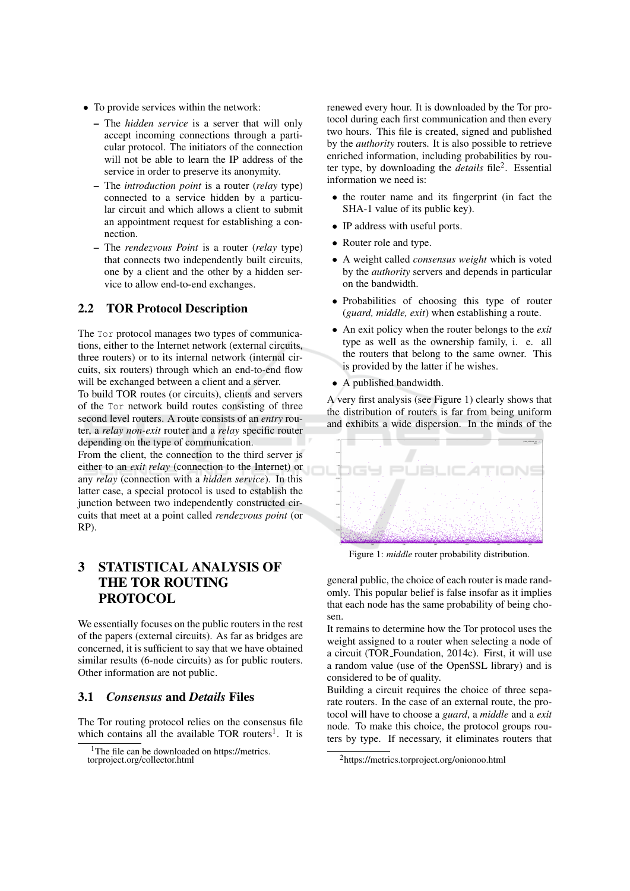- To provide services within the network:
	- The *hidden service* is a server that will only accept incoming connections through a particular protocol. The initiators of the connection will not be able to learn the IP address of the service in order to preserve its anonymity.
	- $-$  The *introduction point* is a router (*relay* type) connected to a service hidden by a particular circuit and which allows a client to submit an appointment request for establishing a connection.
	- The rendezvous Point is a router (relay type) that connects two independently built circuits, one by a client and the other by a hidden service to allow end-to-end exchanges.

#### $2.2^{\circ}$ **TOR Protocol Description**

The Tor protocol manages two types of communications, either to the Internet network (external circuits, three routers) or to its internal network (internal circuits, six routers) through which an end-to-end flow will be exchanged between a client and a server. To build TOR routes (or circuits), clients and servers of the Tor network build routes consisting of three second level routers. A route consists of an entry router, a relay non-exit router and a relay specific router depending on the type of communication. From the client, the connection to the third server is either to an *exit relay* (connection to the Internet) or any relay (connection with a hidden service). In this latter case, a special protocol is used to establish the junction between two independently constructed circuits that meet at a point called *rendezvous point* (or RP).

## **STATISTICAL ANALYSIS OF** 3 **THE TOR ROUTING** PROTOCOL

We essentially focuses on the public routers in the rest of the papers (external circuits). As far as bridges are concerned, it is sufficient to say that we have obtained similar results (6-node circuits) as for public routers. Other information are not public.

#### **Consensus and Details Files**  $3.1$

The Tor routing protocol relies on the consensus file which contains all the available TOR routers<sup>1</sup>. It is

renewed every hour. It is downloaded by the Tor protocol during each first communication and then every two hours. This file is created, signed and published by the *authority* routers. It is also possible to retrieve enriched information, including probabilities by router type, by downloading the *details* file<sup>2</sup>. Essential information we need is:

- the router name and its fingerprint (in fact the SHA-1 value of its public key).
- IP address with useful ports.
- Router role and type.
- A weight called consensus weight which is voted by the *authority* servers and depends in particular on the bandwidth.
- Probabilities of choosing this type of router (guard, middle, exit) when establishing a route.
- $\bullet$  An exit policy when the router belongs to the *exit* type as well as the ownership family, i. e. all the routers that belong to the same owner. This is provided by the latter if he wishes.
- A published bandwidth.

A very first analysis (see Figure 1) clearly shows that the distribution of routers is far from being uniform and exhibits a wide dispersion. In the minds of the



Figure 1: *middle* router probability distribution.

general public, the choice of each router is made randomly. This popular belief is false insofar as it implies that each node has the same probability of being chosen.

It remains to determine how the Tor protocol uses the weight assigned to a router when selecting a node of a circuit (TOR\_Foundation, 2014c). First, it will use a random value (use of the OpenSSL library) and is considered to be of quality.

Building a circuit requires the choice of three separate routers. In the case of an external route, the protocol will have to choose a guard, a middle and a exit node. To make this choice, the protocol groups routers by type. If necessary, it eliminates routers that

<sup>&</sup>lt;sup>1</sup>The file can be downloaded on https://metrics. torproject.org/collector.html

<sup>&</sup>lt;sup>2</sup>https://metrics.torproject.org/onionoo.html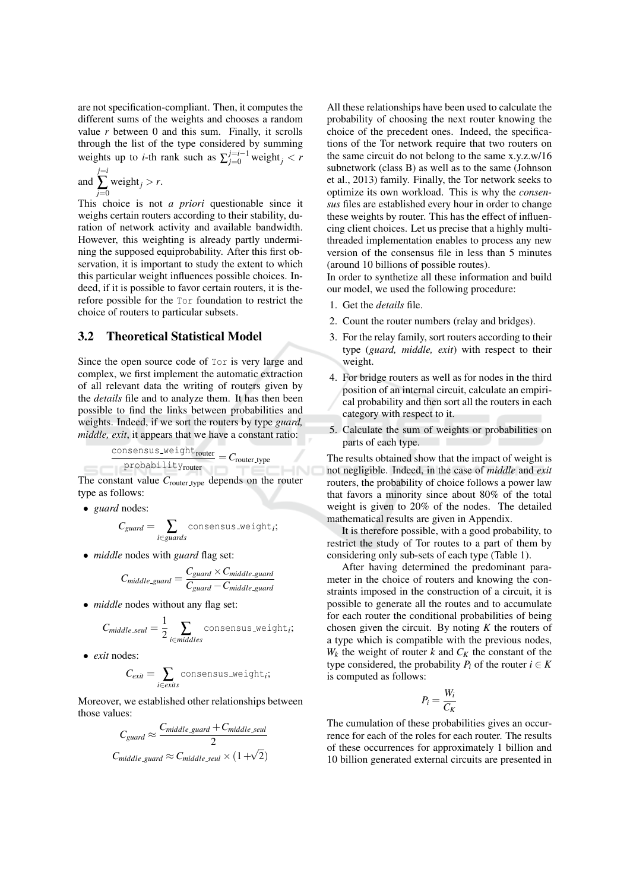are not specification-compliant. Then, it computes the different sums of the weights and chooses a random value  $r$  between 0 and this sum. Finally, it scrolls through the list of the type considered by summing weights up to *i*-th rank such as  $\sum_{i=0}^{j=i-1}$  weight  $i < r$ 

and 
$$
\sum_{j=0}^{j=i}
$$
 weight<sub>j</sub> > r.

This choice is not a priori questionable since it weighs certain routers according to their stability, duration of network activity and available bandwidth. However, this weighting is already partly undermining the supposed equiprobability. After this first observation, it is important to study the extent to which this particular weight influences possible choices. Indeed, if it is possible to favor certain routers, it is therefore possible for the Tor foundation to restrict the choice of routers to particular subsets.

#### $3.2$ **Theoretical Statistical Model**

Since the open source code of Tor is very large and complex, we first implement the automatic extraction of all relevant data the writing of routers given by the *details* file and to analyze them. It has then been possible to find the links between probabilities and weights. Indeed, if we sort the routers by type *guard*, *middle, exit, it appears that we have a constant ratio:* 

$$
\frac{\text{consensus\_weight}_{\text{router}}}{\text{probability}_{\text{router}}} = C_{\text{router\_type}}
$$

The constant value  $C_{\text{router-type}}$  depends on the router type as follows:

• *guard* nodes:

$$
C_{guard} = \sum_{i \in \text{guards}} \text{consensus\_weight}_i;
$$

• *middle* nodes with *guard* flag set:

$$
C_{middle\_guard} = \frac{C_{guard} \times C_{middle\_guard}}{C_{guard} - C_{middle\_guard}}
$$

• *middle* nodes without any flag set:

$$
C_{middle\_seul} = \frac{1}{2} \sum_{i \in middles} \text{consensus\_weight}_i;
$$

 $\bullet$  *exit* nodes:

$$
C_{exit} = \sum_{i \in exits} \text{consensus\_weight}_i;
$$

Moreover, we established other relationships between those values:

$$
C_{guard} \approx \frac{C_{middle\_guard} + C_{middle\_seul}}{2}
$$

 $C_{middle\_guard} \approx C_{middle\_sell} \times (1 + \sqrt{2})$ 

All these relationships have been used to calculate the probability of choosing the next router knowing the choice of the precedent ones. Indeed, the specifications of the Tor network require that two routers on the same circuit do not belong to the same x.y.z.w/16 subnetwork (class B) as well as to the same (Johnson et al., 2013) family. Finally, the Tor network seeks to optimize its own workload. This is why the *consen*sus files are established every hour in order to change these weights by router. This has the effect of influencing client choices. Let us precise that a highly multithreaded implementation enables to process any new version of the consensus file in less than 5 minutes (around 10 billions of possible routes).

In order to synthetize all these information and build our model, we used the following procedure:

- 1. Get the *details* file.
- 2. Count the router numbers (relay and bridges).
- 3. For the relay family, sort routers according to their type (guard, middle, exit) with respect to their weight.
- 4. For bridge routers as well as for nodes in the third position of an internal circuit, calculate an empirical probability and then sort all the routers in each category with respect to it.
- 5. Calculate the sum of weights or probabilities on parts of each type.

The results obtained show that the impact of weight is not negligible. Indeed, in the case of *middle* and *exit* routers, the probability of choice follows a power law that favors a minority since about 80% of the total weight is given to 20% of the nodes. The detailed mathematical results are given in Appendix.

It is therefore possible, with a good probability, to restrict the study of Tor routes to a part of them by considering only sub-sets of each type (Table 1).

After having determined the predominant parameter in the choice of routers and knowing the constraints imposed in the construction of a circuit, it is possible to generate all the routes and to accumulate for each router the conditional probabilities of being chosen given the circuit. By noting  $K$  the routers of a type which is compatible with the previous nodes,  $W_k$  the weight of router k and  $C_K$  the constant of the type considered, the probability  $P_i$  of the router  $i \in K$ is computed as follows:

$$
P_i = \frac{W_i}{C_K}
$$

The cumulation of these probabilities gives an occurrence for each of the roles for each router. The results of these occurrences for approximately 1 billion and 10 billion generated external circuits are presented in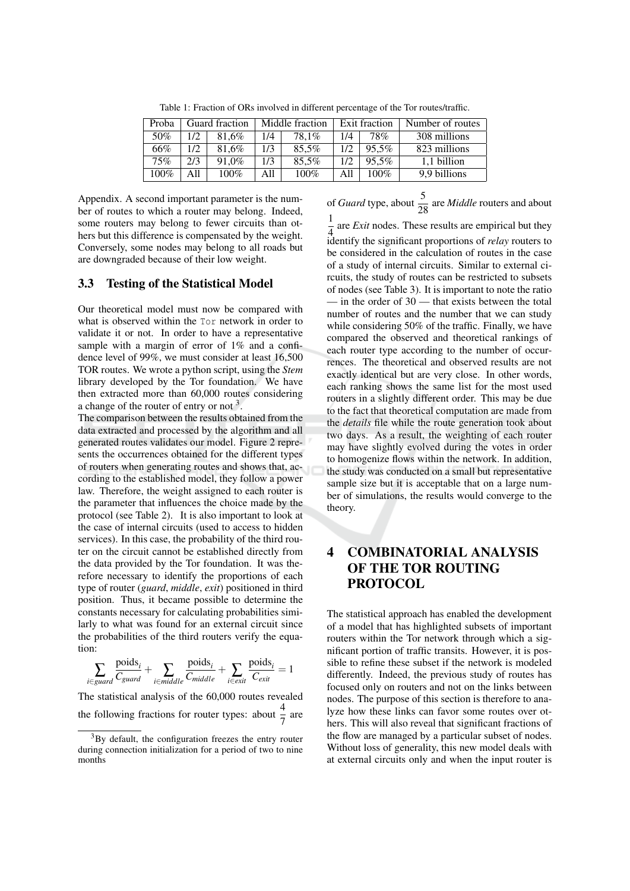| Proba | Guard fraction |       | Middle fraction |         | Exit fraction |         | Number of routes |
|-------|----------------|-------|-----------------|---------|---------------|---------|------------------|
| 50%   | 1/2            | 81.6% | 1/4             | 78.1%   | 1/4           | 78%     | 308 millions     |
| 66%   | 1/2            | 81.6% | 1/3             | 85,5%   | 1/2           | 95.5%   | 823 millions     |
| 75%   | 2/3            | 91.0% | 1/3             | 85,5%   | 1/2           | 95.5%   | 1.1 billion      |
| 100%  | A11            | 100%  | A11             | $100\%$ | A11           | $100\%$ | 9.9 billions     |

Table 1: Fraction of ORs involved in different percentage of the Tor routes/traffic.

Appendix. A second important parameter is the number of routes to which a router may belong. Indeed, some routers may belong to fewer circuits than others but this difference is compensated by the weight. Conversely, some nodes may belong to all roads but are downgraded because of their low weight.

#### $3.3$ **Testing of the Statistical Model**

Our theoretical model must now be compared with what is observed within the Tor network in order to validate it or not. In order to have a representative sample with a margin of error of 1% and a confidence level of 99%, we must consider at least 16,500 TOR routes. We wrote a python script, using the Stem library developed by the Tor foundation. We have then extracted more than 60,000 routes considering a change of the router of entry or not  $3$ .

The comparison between the results obtained from the data extracted and processed by the algorithm and all generated routes validates our model. Figure 2 represents the occurrences obtained for the different types of routers when generating routes and shows that, according to the established model, they follow a power law. Therefore, the weight assigned to each router is the parameter that influences the choice made by the protocol (see Table 2). It is also important to look at the case of internal circuits (used to access to hidden services). In this case, the probability of the third router on the circuit cannot be established directly from the data provided by the Tor foundation. It was therefore necessary to identify the proportions of each type of router (*guard, middle, exit*) positioned in third position. Thus, it became possible to determine the constants necessary for calculating probabilities similarly to what was found for an external circuit since the probabilities of the third routers verify the equation<sup>-</sup>

$$
\sum_{i \in guard} \frac{\text{poids}_i}{C_{guard}} + \sum_{i \in middle} \frac{\text{poids}_i}{C_{middle}} + \sum_{i \in exit} \frac{\text{poids}_i}{C_{exit}} = 1
$$

The statistical analysis of the 60,000 routes revealed the following fractions for router types: about  $\frac{4}{7}$  are of *Guard* type, about  $\frac{5}{28}$  are *Middle* routers and about

 $\frac{1}{4}$  are *Exit* nodes. These results are empirical but they identify the significant proportions of relay routers to be considered in the calculation of routes in the case of a study of internal circuits. Similar to external circuits, the study of routes can be restricted to subsets of nodes (see Table 3). It is important to note the ratio  $-$  in the order of 30  $-$  that exists between the total number of routes and the number that we can study while considering 50% of the traffic. Finally, we have compared the observed and theoretical rankings of each router type according to the number of occurrences. The theoretical and observed results are not exactly identical but are very close. In other words, each ranking shows the same list for the most used routers in a slightly different order. This may be due to the fact that theoretical computation are made from the *details* file while the route generation took about two days. As a result, the weighting of each router may have slightly evolved during the votes in order to homogenize flows within the network. In addition, the study was conducted on a small but representative sample size but it is acceptable that on a large number of simulations, the results would converge to the theory.

### **COMBINATORIAL ANALYSIS**  $\blacktriangle$ OF THE TOR ROUTING **PROTOCOL**

The statistical approach has enabled the development of a model that has highlighted subsets of important routers within the Tor network through which a significant portion of traffic transits. However, it is possible to refine these subset if the network is modeled differently. Indeed, the previous study of routes has focused only on routers and not on the links between nodes. The purpose of this section is therefore to analyze how these links can favor some routes over others. This will also reveal that significant fractions of the flow are managed by a particular subset of nodes. Without loss of generality, this new model deals with at external circuits only and when the input router is

 $3$ By default, the configuration freezes the entry router during connection initialization for a period of two to nine months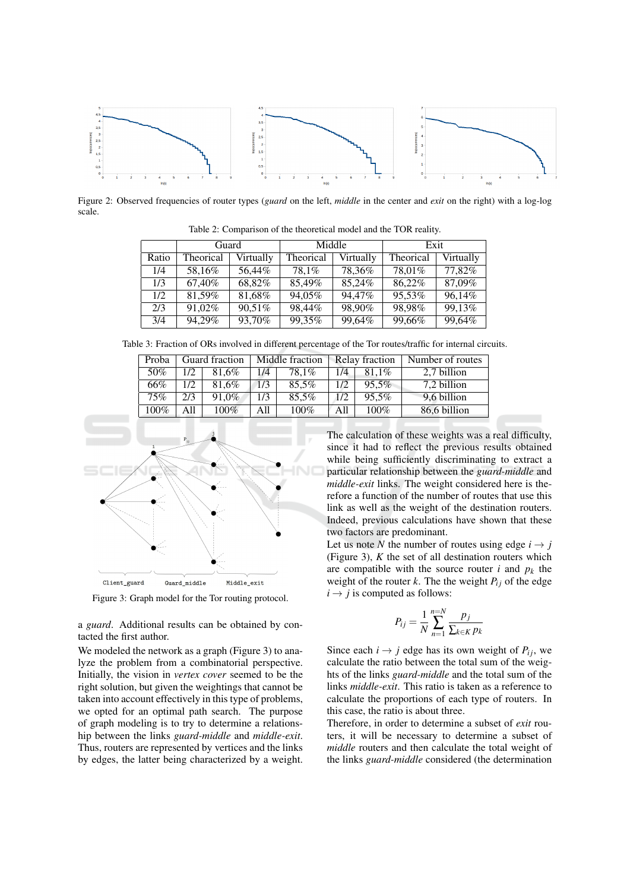

Figure 2: Observed frequencies of router types (guard on the left, middle in the center and exit on the right) with a log-log scale.

|       | Guard     |           | Middle    |           | Exit      |           |
|-------|-----------|-----------|-----------|-----------|-----------|-----------|
| Ratio | Theorical | Virtually | Theorical | Virtually | Theorical | Virtually |
| 1/4   | 58.16%    | 56.44%    | 78.1%     | 78,36%    | 78.01%    | 77.82%    |
| 1/3   | 67,40%    | 68.82%    | 85,49%    | 85.24%    | 86.22%    | 87.09%    |
| 1/2   | 81.59%    | 81,68%    | 94.05%    | 94.47%    | 95.53%    | 96.14%    |
| 2/3   | 91.02%    | 90.51%    | 98.44%    | 98.90%    | 98.98%    | 99.13%    |
| 3/4   | 94,29%    | 93,70%    | 99,35%    | 99,64%    | 99,66%    | 99,64%    |

Table 2: Comparison of the theoretical model and the TOR reality.

Table 3: Fraction of ORs involved in different percentage of the Tor routes/traffic for internal circuits.

| Proba | Guard fraction |         | Middle fraction |         | Relay fraction |          | Number of routes |
|-------|----------------|---------|-----------------|---------|----------------|----------|------------------|
| 50%   | 1/2            | 81.6%   | 1/4             | 78.1%   | 1/4            | $81.1\%$ | 2.7 billion      |
| 66%   | 1/2            | 81.6%   | 1/3             | 85,5%   | 1/2            | $95.5\%$ | 7.2 billion      |
| 75%   | 2/3            | 91.0%   | 1/3             | 85,5%   | 1/2            | 95.5%    | 9.6 billion      |
| 100%  | A11            | $100\%$ | A11             | $100\%$ | A11            | $100\%$  | 86,6 billion     |



Figure 3: Graph model for the Tor routing protocol.

a guard. Additional results can be obtained by contacted the first author.

We modeled the network as a graph (Figure 3) to analyze the problem from a combinatorial perspective. Initially, the vision in vertex cover seemed to be the right solution, but given the weightings that cannot be taken into account effectively in this type of problems, we opted for an optimal path search. The purpose of graph modeling is to try to determine a relationship between the links guard-middle and middle-exit. Thus, routers are represented by vertices and the links by edges, the latter being characterized by a weight.

The calculation of these weights was a real difficulty, since it had to reflect the previous results obtained while being sufficiently discriminating to extract a particular relationship between the *guard-middle* and *middle-exit* links. The weight considered here is therefore a function of the number of routes that use this link as well as the weight of the destination routers. Indeed, previous calculations have shown that these two factors are predominant.

Let us note N the number of routes using edge  $i \rightarrow j$ (Figure 3),  $K$  the set of all destination routers which are compatible with the source router  $i$  and  $p_k$  the weight of the router k. The the weight  $P_{ij}$  of the edge  $i \rightarrow j$  is computed as follows:

$$
P_{ij} = \frac{1}{N} \sum_{n=1}^{n=N} \frac{p_j}{\sum_{k \in K} p_k}
$$

Since each  $i \rightarrow j$  edge has its own weight of  $P_{ij}$ , we calculate the ratio between the total sum of the weights of the links *guard-middle* and the total sum of the links middle-exit. This ratio is taken as a reference to calculate the proportions of each type of routers. In this case, the ratio is about three.

Therefore, in order to determine a subset of exit routers, it will be necessary to determine a subset of *middle* routers and then calculate the total weight of the links *guard-middle* considered (the determination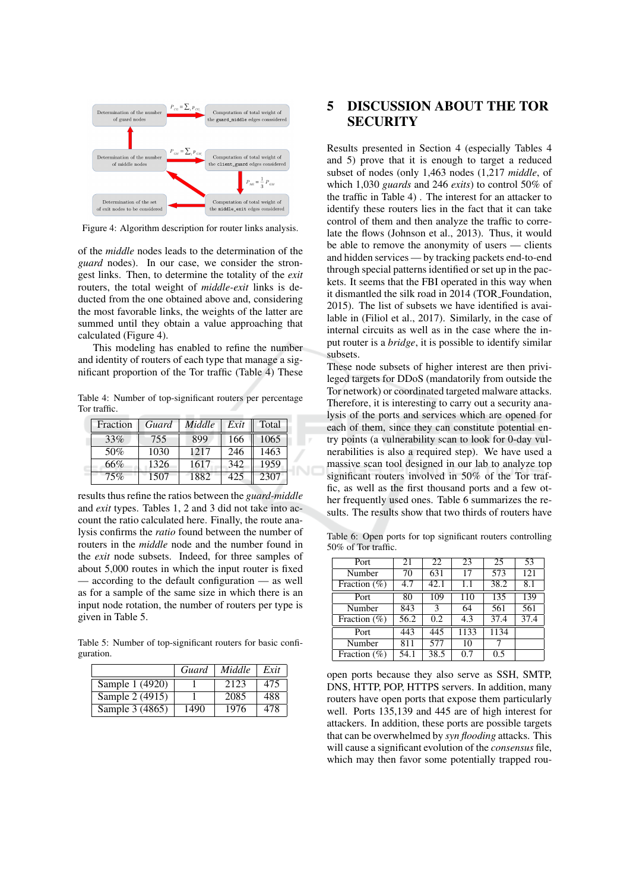

Figure 4: Algorithm description for router links analysis.

of the *middle* nodes leads to the determination of the guard nodes). In our case, we consider the strongest links. Then, to determine the totality of the exit routers, the total weight of *middle-exit* links is deducted from the one obtained above and, considering the most favorable links, the weights of the latter are summed until they obtain a value approaching that calculated (Figure 4).

This modeling has enabled to refine the number and identity of routers of each type that manage a significant proportion of the Tor traffic (Table 4) These

Table 4: Number of top-significant routers per percentage Tor traffic.

| Fraction | Guard | Middle | Exit | Total |
|----------|-------|--------|------|-------|
| 33%      | 755   | 899    | 166  | 1065  |
| 50%      | 1030  | 1217   | 246  | 1463  |
| 66%      | 1326  | 1617   | 342  | 1959  |
| 75%      | 1507  | 1882   | -425 | 2307  |

INC

results thus refine the ratios between the *guard-middle* and *exit* types. Tables 1, 2 and 3 did not take into account the ratio calculated here. Finally, the route analysis confirms the *ratio* found between the number of routers in the *middle* node and the number found in the exit node subsets. Indeed, for three samples of about 5,000 routes in which the input router is fixed — according to the default configuration — as well as for a sample of the same size in which there is an input node rotation, the number of routers per type is given in Table 5.

Table 5: Number of top-significant routers for basic configuration.

|                 | Guard | Middle | Exit |
|-----------------|-------|--------|------|
| Sample 1 (4920) |       | 2123   | 475  |
| Sample 2 (4915) |       | 2085   | 488  |
| Sample 3 (4865) | 1490  | 1976   | 478  |

### **DISCUSSION ABOUT THE TOR** 5 **SECURITY**

Results presented in Section 4 (especially Tables 4) and 5) prove that it is enough to target a reduced subset of nodes (only 1,463 nodes (1,217 middle, of which 1,030 guards and 246 exits) to control 50% of the traffic in Table 4). The interest for an attacker to identify these routers lies in the fact that it can take control of them and then analyze the traffic to correlate the flows (Johnson et al., 2013). Thus, it would be able to remove the anonymity of users - clients and hidden services — by tracking packets end-to-end through special patterns identified or set up in the packets. It seems that the FBI operated in this way when it dismantled the silk road in 2014 (TOR\_Foundation, 2015). The list of subsets we have identified is available in (Filiol et al., 2017). Similarly, in the case of internal circuits as well as in the case where the input router is a *bridge*, it is possible to identify similar subsets.

These node subsets of higher interest are then privileged targets for DDoS (mandatorily from outside the Tor network) or coordinated targeted malware attacks. Therefore, it is interesting to carry out a security analysis of the ports and services which are opened for each of them, since they can constitute potential entry points (a vulnerability scan to look for 0-day vulnerabilities is also a required step). We have used a massive scan tool designed in our lab to analyze top significant routers involved in 50% of the Tor traffic, as well as the first thousand ports and a few other frequently used ones. Table 6 summarizes the results. The results show that two thirds of routers have

Table 6: Open ports for top significant routers controlling 50% of Tor traffic.

| Port            | 21   | 22   | 23   | 25   | 53   |
|-----------------|------|------|------|------|------|
| Number          | 70   | 631  | 17   | 573  | 121  |
| Fraction $(\%)$ | 4.7  | 42.1 | 1.1  | 38.2 | 8.1  |
| Port            | 80   | 109  | 110  | 135  | 139  |
| Number          | 843  | 3    | 64   | 561  | 561  |
| Fraction $(\%)$ | 56.2 | 0.2  | 4.3  | 37.4 | 37.4 |
| Port            | 443  | 445  | 1133 | 1134 |      |
| Number          | 811  | 577  | 10   |      |      |
| Fraction $(\%)$ | 54.1 | 38.5 | 0.7  | 0.5  |      |

open ports because they also serve as SSH, SMTP, DNS, HTTP, POP, HTTPS servers. In addition, many routers have open ports that expose them particularly well. Ports 135,139 and 445 are of high interest for attackers. In addition, these ports are possible targets that can be overwhelmed by syn flooding attacks. This will cause a significant evolution of the *consensus* file, which may then favor some potentially trapped rou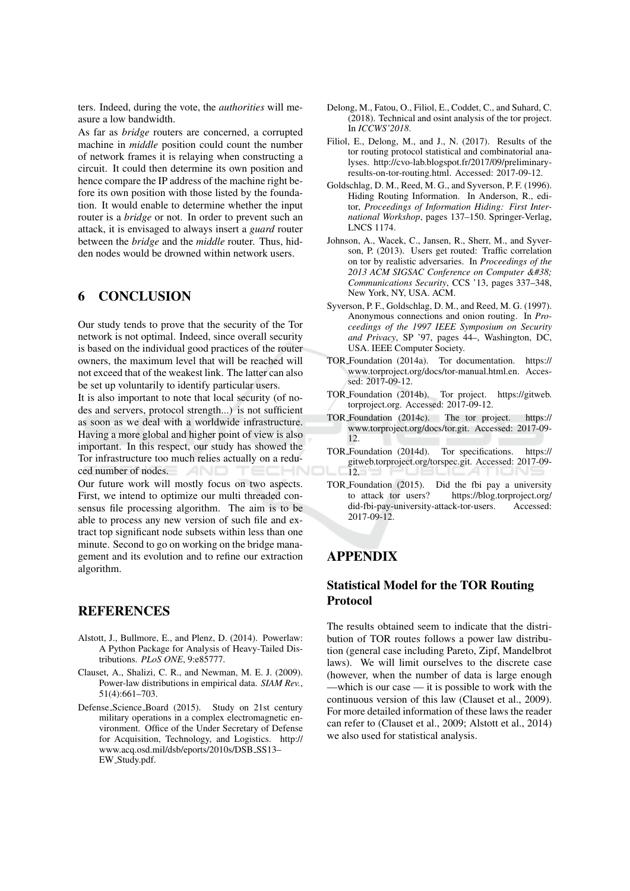ters. Indeed, during the vote, the *authorities* will measure a low bandwidth.

As far as *bridge* routers are concerned, a corrupted machine in *middle* position could count the number of network frames it is relaying when constructing a circuit. It could then determine its own position and hence compare the IP address of the machine right before its own position with those listed by the foundation. It would enable to determine whether the input router is a *bridge* or not. In order to prevent such an attack, it is envisaged to always insert a *guard* router between the *bridge* and the *middle* router. Thus, hidden nodes would be drowned within network users.

#### **CONCLUSION** 6

Our study tends to prove that the security of the Tor network is not optimal. Indeed, since overall security is based on the individual good practices of the router owners, the maximum level that will be reached will not exceed that of the weakest link. The latter can also be set up voluntarily to identify particular users.

It is also important to note that local security (of nodes and servers, protocol strength...) is not sufficient as soon as we deal with a worldwide infrastructure. Having a more global and higher point of view is also important. In this respect, our study has showed the Tor infrastructure too much relies actually on a reduced number of nodes. **ANI** 

Our future work will mostly focus on two aspects. First, we intend to optimize our multi threaded consensus file processing algorithm. The aim is to be able to process any new version of such file and extract top significant node subsets within less than one minute. Second to go on working on the bridge management and its evolution and to refine our extraction algorithm.

## **REFERENCES**

- Alstott, J., Bullmore, E., and Plenz, D. (2014). Powerlaw: A Python Package for Analysis of Heavy-Tailed Distributions. PLoS ONE, 9:e85777.
- Clauset, A., Shalizi, C. R., and Newman, M. E. J. (2009). Power-law distributions in empirical data. SIAM Rev.,  $51(4):661-703.$
- Defense\_Science\_Board (2015). Study on 21st century military operations in a complex electromagnetic environment. Office of the Under Secretary of Defense for Acquisition, Technology, and Logistics. http:// www.acq.osd.mil/dsb/eports/2010s/DSB\_SS13-EW\_Study.pdf.
- Delong, M., Fatou, O., Filiol, E., Coddet, C., and Suhard, C. (2018). Technical and osint analysis of the tor project. In *ICCWS*'2018.
- Filiol, E., Delong, M., and J., N. (2017). Results of the tor routing protocol statistical and combinatorial analyses. http://cvo-lab.blogspot.fr/2017/09/preliminaryresults-on-tor-routing.html. Accessed: 2017-09-12.
- Goldschlag, D. M., Reed, M. G., and Syverson, P. F. (1996). Hiding Routing Information. In Anderson, R., editor, Proceedings of Information Hiding: First International Workshop, pages 137-150. Springer-Verlag, **LNCS 1174.**
- Johnson, A., Wacek, C., Jansen, R., Sherr, M., and Syverson, P. (2013). Users get routed: Traffic correlation on tor by realistic adversaries. In Proceedings of the 2013 ACM SIGSAC Conference on Computer & Communications Security, CCS '13, pages 337-348, New York, NY, USA. ACM.
- Syverson, P. F., Goldschlag, D. M., and Reed, M. G. (1997). Anonymous connections and onion routing. In Proceedings of the 1997 IEEE Symposium on Security and Privacy, SP '97, pages 44-, Washington, DC, USA. IEEE Computer Society.
- TOR\_Foundation (2014a). Tor documentation. https:// www.torproject.org/docs/tor-manual.html.en. Accessed: 2017-09-12.
- TOR\_Foundation (2014b). Tor project. https://gitweb. torproject.org. Accessed: 2017-09-12.
- TOR\_Foundation (2014c). The tor project. https:// www.torproject.org/docs/tor.git. Accessed: 2017-09- $12<sup>°</sup>$
- TOR\_Foundation (2014d). Tor specifications.  $https://$ gitweb.torproject.org/torspec.git. Accessed: 2017-09- $12$
- TOR\_Foundation (2015). Did the fbi pay a university to attack tor users? https://blog.torproject.org/ did-fbi-pay-university-attack-tor-users. Accessed: 2017-09-12.

# **APPENDIX**

# **Statistical Model for the TOR Routing Protocol**

The results obtained seem to indicate that the distribution of TOR routes follows a power law distribution (general case including Pareto, Zipf, Mandelbrot laws). We will limit ourselves to the discrete case (however, when the number of data is large enough -which is our case  $\frac{1}{x}$  is possible to work with the continuous version of this law (Clauset et al., 2009). For more detailed information of these laws the reader can refer to (Clauset et al., 2009; Alstott et al., 2014) we also used for statistical analysis.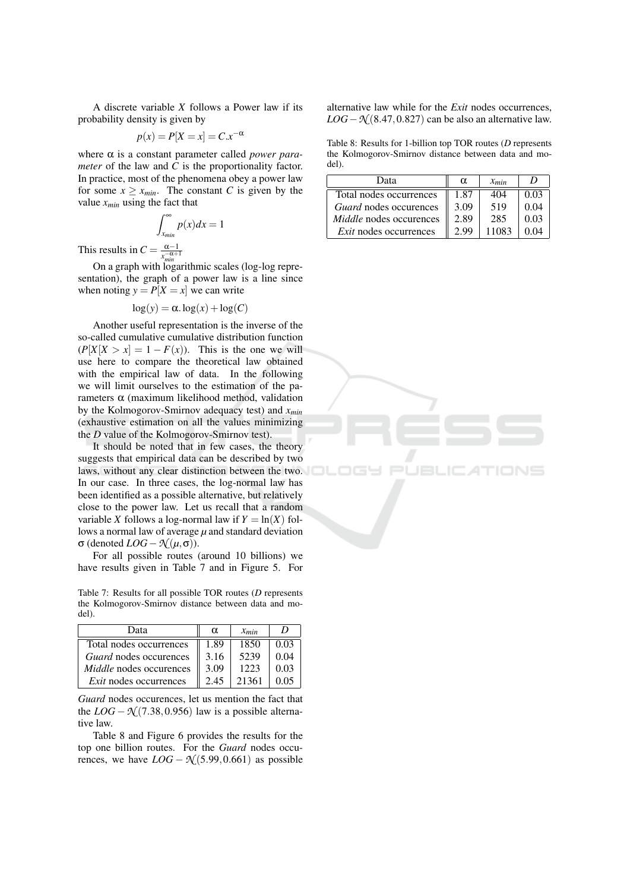A discrete variable  $X$  follows a Power law if its probability density is given by

$$
p(x) = P[X = x] = C \cdot x^{-0}
$$

where  $\alpha$  is a constant parameter called *power parameter* of the law and  $C$  is the proportionality factor. In practice, most of the phenomena obey a power law for some  $x \ge x_{min}$ . The constant C is given by the value  $x_{min}$  using the fact that

$$
\int_{x_{min}}^{\infty} p(x)dx = 1
$$

This results in  $C = \frac{\alpha - 1}{x_{min}^{\text{max}}}$ <br>On a graph with logarithmic scales (log-log representation), the graph of a power law is a line since when noting  $y = P[X = x]$  we can write

$$
\log(y) = \alpha \cdot \log(x) + \log(C)
$$

Another useful representation is the inverse of the so-called cumulative cumulative distribution function  $(P[X|X > x] = 1 - F(x))$ . This is the one we will use here to compare the theoretical law obtained with the empirical law of data. In the following we will limit ourselves to the estimation of the parameters  $\alpha$  (maximum likelihood method, validation by the Kolmogorov-Smirnov adequacy test) and  $x_{min}$ (exhaustive estimation on all the values minimizing the  $D$  value of the Kolmogorov-Smirnov test).

It should be noted that in few cases, the theory suggests that empirical data can be described by two laws, without any clear distinction between the two. In our case. In three cases, the log-normal law has been identified as a possible alternative, but relatively close to the power law. Let us recall that a random variable X follows a log-normal law if  $Y = \ln(X)$  follows a normal law of average  $\mu$  and standard deviation  $\sigma$  (denoted  $LOG - \mathcal{N}(\mu, \sigma)$ ).

For all possible routes (around 10 billions) we have results given in Table 7 and in Figure 5. For

Table 7: Results for all possible TOR routes  $(D)$  represents the Kolmogorov-Smirnov distance between data and model).

| Data                          | α    | $x_{min}$ |      |
|-------------------------------|------|-----------|------|
| Total nodes occurrences       | 1.89 | 1850      | 0.03 |
| <i>Guard</i> nodes occurences | 3.16 | 5239      | 0.04 |
| Middle nodes occurences       | 3.09 | 1223      | 0.03 |
| <i>Exit</i> nodes occurrences | 2.45 | 21361     | 0.05 |

Guard nodes occurences, let us mention the fact that the  $LOG - \mathcal{N}(7.38, 0.956)$  law is a possible alternative law.

Table 8 and Figure 6 provides the results for the top one billion routes. For the Guard nodes occurences, we have  $LOG - \mathcal{N}(5.99, 0.661)$  as possible alternative law while for the *Exit* nodes occurrences,  $LOG - \mathcal{N}(8.47, 0.827)$  can be also an alternative law.

Table 8: Results for 1-billion top TOR routes (D represents the Kolmogorov-Smirnov distance between data and model).

| Data                    | α    | $x_{min}$ |      |
|-------------------------|------|-----------|------|
| Total nodes occurrences | 1.87 | 404       | 0.03 |
| Guard nodes occurences  | 3.09 | 519       | 0.04 |
| Middle nodes occurences | 2.89 | 285       | 0.03 |
| Exit nodes occurrences  | 2 QQ | 11083     | በ በ4 |